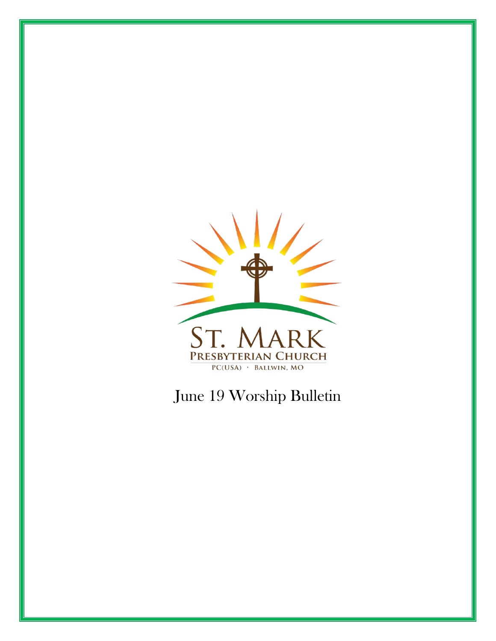

# June 19 Worship Bulletin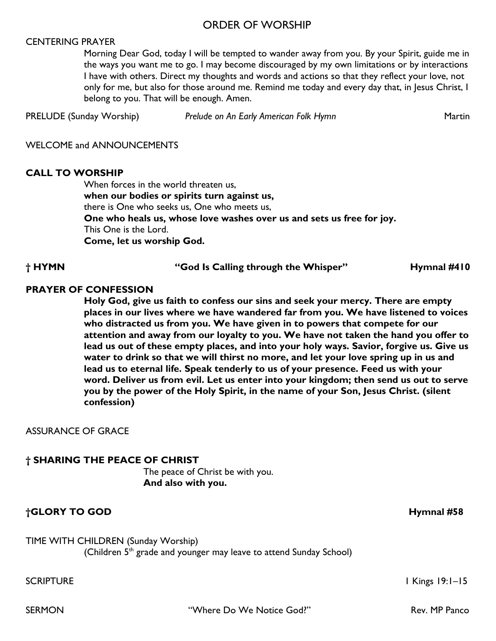#### ORDER OF WORSHIP

#### CENTERING PRAYER

Morning Dear God, today I will be tempted to wander away from you. By your Spirit, guide me in the ways you want me to go. I may become discouraged by my own limitations or by interactions I have with others. Direct my thoughts and words and actions so that they reflect your love, not only for me, but also for those around me. Remind me today and every day that, in Jesus Christ, I belong to you. That will be enough. Amen.

PRELUDE (Sunday Worship) *Prelude on An Early American Folk Hymn* Martin

WELCOME and ANNOUNCEMENTS

#### **CALL TO WORSHIP**

When forces in the world threaten us, **when our bodies or spirits turn against us,**  there is One who seeks us, One who meets us, **One who heals us, whose love washes over us and sets us free for joy.**  This One is the Lord. **Come, let us worship God.**

#### **† HYMN "God Is Calling through the Whisper" Hymnal #410**

#### **PRAYER OF CONFESSION**

**Holy God, give us faith to confess our sins and seek your mercy. There are empty places in our lives where we have wandered far from you. We have listened to voices who distracted us from you. We have given in to powers that compete for our attention and away from our loyalty to you. We have not taken the hand you offer to lead us out of these empty places, and into your holy ways. Savior, forgive us. Give us water to drink so that we will thirst no more, and let your love spring up in us and lead us to eternal life. Speak tenderly to us of your presence. Feed us with your word. Deliver us from evil. Let us enter into your kingdom; then send us out to serve you by the power of the Holy Spirit, in the name of your Son, Jesus Christ. (silent confession)**

#### ASSURANCE OF GRACE

#### **† SHARING THE PEACE OF CHRIST**

The peace of Christ be with you. **And also with you.**

#### **†GLORY TO GOD Hymnal #58**

TIME WITH CHILDREN (Sunday Worship) (Children  $5<sup>th</sup>$  grade and younger may leave to attend Sunday School)

SCRIPTURE International SCRIPTURE International SCRIPTURE International SCRIPTURE International SCRIPTURE International SCRIPTURE International SCRIPTURE International SCRIPTURE International SCRIPTURE International SCRIPT

SERMON **The Community Community Community Community Community Community Community Community Community Community**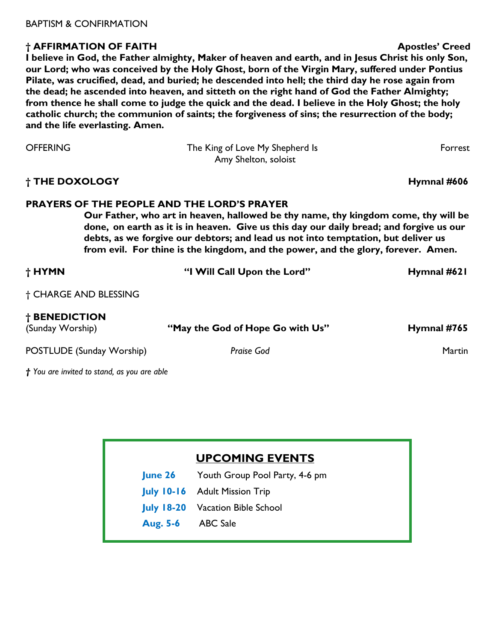#### **† AFFIRMATION OF FAITH Apostles' Creed**

**I believe in God, the Father almighty, Maker of heaven and earth, and in Jesus Christ his only Son, our Lord; who was conceived by the Holy Ghost, born of the Virgin Mary, suffered under Pontius Pilate, was crucified, dead, and buried; he descended into hell; the third day he rose again from the dead; he ascended into heaven, and sitteth on the right hand of God the Father Almighty; from thence he shall come to judge the quick and the dead. I believe in the Holy Ghost; the holy catholic church; the communion of saints; the forgiveness of sins; the resurrection of the body; and the life everlasting. Amen.** 

| <b>OFFERING</b> | The King of Love My Shepherd Is<br>Amy Shelton, soloist | Forrest     |
|-----------------|---------------------------------------------------------|-------------|
| † THE DOXOLOGY  |                                                         | Hymnal #606 |

#### **PRAYERS OF THE PEOPLE AND THE LORD'S PRAYER**

**Our Father, who art in heaven, hallowed be thy name, thy kingdom come, thy will be done, on earth as it is in heaven. Give us this day our daily bread; and forgive us our debts, as we forgive our debtors; and lead us not into temptation, but deliver us from evil. For thine is the kingdom, and the power, and the glory, forever. Amen.** 

| † HYMN                                      | "I Will Call Upon the Lord"      | Hymnal #621   |  |
|---------------------------------------------|----------------------------------|---------------|--|
| † CHARGE AND BLESSING                       |                                  |               |  |
| † BENEDICTION<br>(Sunday Worship)           | "May the God of Hope Go with Us" | Hymnal #765   |  |
| POSTLUDE (Sunday Worship)                   | Praise God                       | <b>Martin</b> |  |
| † You are invited to stand, as you are able |                                  |               |  |

# **UPCOMING EVENTS**

**June 26** Youth Group Pool Party, 4-6 pm

- **July 10-16** Adult Mission Trip
- **July 18-20** Vacation Bible School
- **Aug. 5-6** ABC Sale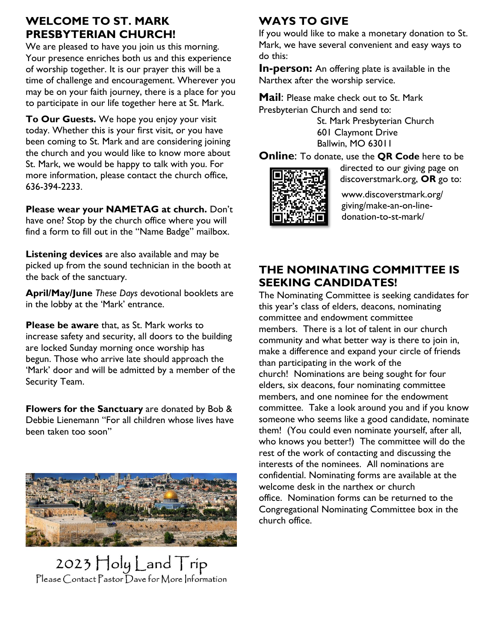## **WELCOME TO ST. MARK PRESBYTERIAN CHURCH!**

We are pleased to have you join us this morning. Your presence enriches both us and this experience of worship together. It is our prayer this will be a time of challenge and encouragement. Wherever you may be on your faith journey, there is a place for you to participate in our life together here at St. Mark.

**To Our Guests.** We hope you enjoy your visit today. Whether this is your first visit, or you have been coming to St. Mark and are considering joining the church and you would like to know more about St. Mark, we would be happy to talk with you. For more information, please contact the church office, 636-394-2233.

**Please wear your NAMETAG at church.** Don't have one? Stop by the church office where you will find a form to fill out in the "Name Badge" mailbox.

**Listening devices** are also available and may be picked up from the sound technician in the booth at the back of the sanctuary.

**April/May/June** *These Days* devotional booklets are in the lobby at the 'Mark' entrance.

**Please be aware** that, as St. Mark works to increase safety and security, all doors to the building are locked Sunday morning once worship has begun. Those who arrive late should approach the 'Mark' door and will be admitted by a member of the Security Team.

**Flowers for the Sanctuary** are donated by Bob & Debbie Lienemann "For all children whose lives have been taken too soon"



2023 Holy Land Trip<br>Please Contact Pastor Dave for More Information

# **WAYS TO GIVE**

If you would like to make a monetary donation to St. Mark, we have several convenient and easy ways to do this:

**In-person:** An offering plate is available in the Narthex after the worship service.

**Mail**: Please make check out to St. Mark Presbyterian Church and send to:

> St. Mark Presbyterian Church 601 Claymont Drive Ballwin, MO 63011

**Online**: To donate, use the **QR Code** here to be



directed to our giving page on discoverstmark.org, **OR** go to:

www.discoverstmark.org/ giving/make-an-on-linedonation-to-st-mark/

# **THE NOMINATING COMMITTEE IS SEEKING CANDIDATES!**

The Nominating Committee is seeking candidates for this year's class of elders, deacons, nominating committee and endowment committee members. There is a lot of talent in our church community and what better way is there to join in, make a difference and expand your circle of friends than participating in the work of the church! Nominations are being sought for four elders, six deacons, four nominating committee members, and one nominee for the endowment committee. Take a look around you and if you know someone who seems like a good candidate, nominate them! (You could even nominate yourself, after all, who knows you better!) The committee will do the rest of the work of contacting and discussing the interests of the nominees. All nominations are confidential. Nominating forms are available at the welcome desk in the narthex or church office. Nomination forms can be returned to the Congregational Nominating Committee box in the church office.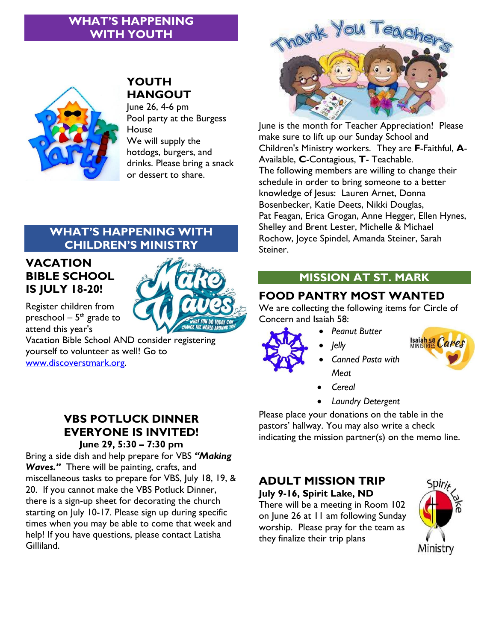# **WHAT'S HAPPENING WITH YOUTH**



# **YOUTH HANGOUT**

June 26, 4-6 pm Pool party at the Burgess House We will supply the hotdogs, burgers, and drinks. Please bring a snack or dessert to share.



June is the month for Teacher Appreciation! Please make sure to lift up our Sunday School and Children's Ministry workers. They are **F**-Faithful, **A**-Available, **C**-Contagious, **T**- Teachable. The following members are willing to change their schedule in order to bring someone to a better knowledge of Jesus: Lauren Arnet, Donna Bosenbecker, Katie Deets, Nikki Douglas, Pat Feagan, Erica Grogan, Anne Hegger, Ellen Hynes, Shelley and Brent Lester, Michelle & Michael Rochow, Joyce Spindel, Amanda Steiner, Sarah Steiner.

# **CHILDREN'S MINISTRY**

**WHAT'S HAPPENING WITH** 

# **VACATION BIBLE SCHOOL IS JULY 18-20!**

Register children from preschool –  $5^{\text{th}}$  grade to attend this year's

Vacation Bible School AND consider registering yourself to volunteer as well! Go to [www.discoverstmark.org.](http://www.discoverstmark.org/)

#### **VBS POTLUCK DINNER EVERYONE IS INVITED! June 29, 5:30 – 7:30 pm**

Bring a side dish and help prepare for VBS *"Making Waves."* There will be painting, crafts, and miscellaneous tasks to prepare for VBS, July 18, 19, & 20. If you cannot make the VBS Potluck Dinner, there is a sign-up sheet for decorating the church starting on July 10-17. Please sign up during specific times when you may be able to come that week and help! If you have questions, please contact Latisha Gilliland.

# **MISSION AT ST. MARK**

# **FOOD PANTRY MOST WANTED**

We are collecting the following items for Circle of Concern and Isaiah 58:

- *Peanut Butter*
- 
- *Jelly*
- Isaiah 58 Cares
- 
- *Canned Pasta with Meat*
- *Cereal*
- *Laundry Detergent*

Please place your donations on the table in the pastors' hallway. You may also write a check indicating the mission partner(s) on the memo line.

# **ADULT MISSION TRIP**

**July 9-16, Spirit Lake, ND**

There will be a meeting in Room 102 on June 26 at 11 am following Sunday worship. Please pray for the team as they finalize their trip plans

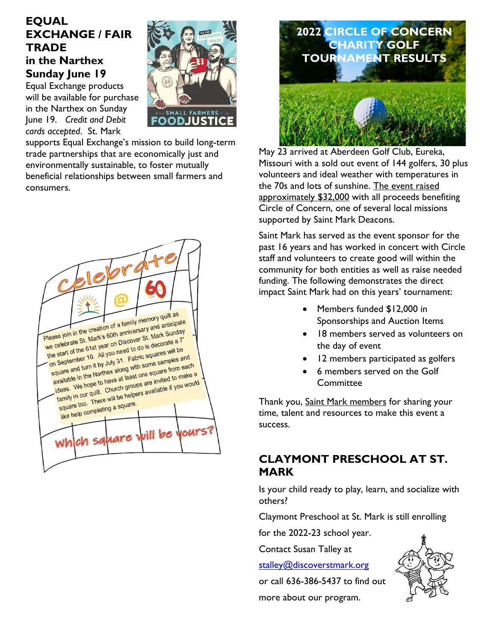## **EQUAL EXCHANGE / FAIR TRADE in the Narthex Sunday June 19**

Equal Exchange products will be available for purchase in the Narthex on Sunday June 19. *Credit and Debit cards accepted*. St. Mark



supports Equal Exchange's mission to build long-term trade partnerships that are economically just and environmentally sustainable, to foster mutually beneficial relationships between small farmers and consumers.





May 23 arrived at Aberdeen Golf Club, Eureka, Missouri with a sold out event of 144 golfers, 30 plus volunteers and ideal weather with temperatures in the 70s and lots of sunshine. The event raised approximately \$32,000 with all proceeds benefiting Circle of Concern, one of several local missions supported by Saint Mark Deacons.

Saint Mark has served as the event sponsor for the past 16 years and has worked in concert with Circle staff and volunteers to create good will within the community for both entities as well as raise needed funding. The following demonstrates the direct impact Saint Mark had on this years' tournament:

- Members funded \$12,000 in Sponsorships and Auction Items
- 18 members served as volunteers on the day of event
- 12 members participated as golfers
- 6 members served on the Golf **Committee**

Thank you, Saint Mark members for sharing your time, talent and resources to make this event a success.

#### **CLAYMONT PRESCHOOL AT ST. MARK**

Is your child ready to play, learn, and socialize with others?

Claymont Preschool at St. Mark is still enrolling

for the 2022-23 school year.

Contact Susan Talley at

[stalley@discoverstmark.org](mailto:stalley@discoverstmark.org)

or call 636-386-5437 to find out

more about our program.

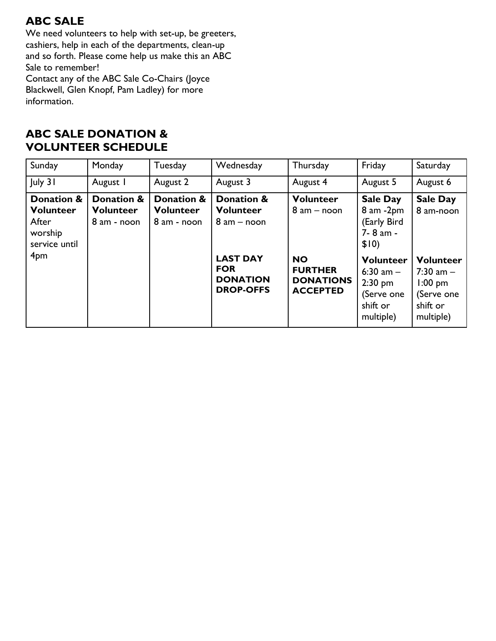# **ABC SALE**

We need volunteers to help with set-up, be greeters, cashiers, help in each of the departments, clean-up and so forth. Please come help us make this an ABC Sale to remember!

Contact any of the ABC Sale Co-Chairs (Joyce Blackwell, Glen Knopf, Pam Ladley) for more information.

## **ABC SALE DONATION & VOLUNTEER SCHEDULE**

| Sunday                                                              | Monday                                        | Tuesday                                       | Wednesday                                                            | Thursday                                                           | Friday                                                                              | Saturday                                                                              |
|---------------------------------------------------------------------|-----------------------------------------------|-----------------------------------------------|----------------------------------------------------------------------|--------------------------------------------------------------------|-------------------------------------------------------------------------------------|---------------------------------------------------------------------------------------|
| July 31                                                             | August I                                      | August 2                                      | August 3                                                             | August 4                                                           | August 5                                                                            | August 6                                                                              |
| Donation &<br><b>Volunteer</b><br>After<br>worship<br>service until | Donation &<br><b>Volunteer</b><br>8 am - noon | Donation &<br><b>Volunteer</b><br>8 am - noon | Donation &<br><b>Volunteer</b><br>$8$ am $-$ noon                    | <b>Volunteer</b><br>$8$ am $-$ noon                                | <b>Sale Day</b><br>$8$ am $-2$ pm<br>(Early Bird<br>7-8 am -<br>\$10)               | <b>Sale Day</b><br>8 am-noon                                                          |
| 4 <sub>pm</sub>                                                     |                                               |                                               | <b>LAST DAY</b><br><b>FOR</b><br><b>DONATION</b><br><b>DROP-OFFS</b> | <b>NO</b><br><b>FURTHER</b><br><b>DONATIONS</b><br><b>ACCEPTED</b> | <b>Volunteer</b><br>6:30 am $-$<br>$2:30$ pm<br>(Serve one<br>shift or<br>multiple) | <b>Volunteer</b><br>$7:30$ am $-$<br>$1:00$ pm<br>(Serve one<br>shift or<br>multiple) |